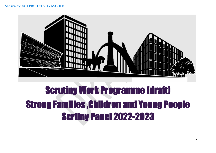

# Scrutiny Work Programme (draft) Strong Families ,Children and Young People Scrtiny Panel 2022-2023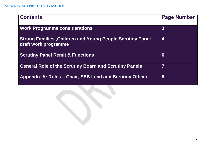| <b>Contents</b>                                                                          | <b>Page Number</b>      |
|------------------------------------------------------------------------------------------|-------------------------|
| <b>Work Programme considerations</b>                                                     | $\boldsymbol{3}$        |
| <b>Strong Families, Children and Young People Scrutiny Panel</b><br>draft work programme | $\overline{\mathbf{4}}$ |
| <b>Scrutiny Panel Remit &amp; Functions</b>                                              | $6\phantom{1}6$         |
| <b>General Role of the Scrutiny Board and Scrutiny Panels</b>                            | $\overline{7}$          |
| Appendix A: Roles – Chair, SEB Lead and Scrutiny Officer                                 | 8                       |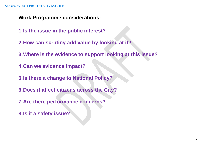**Work Programme considerations:**

- **1.Is the issue in the public interest?**
- **2.How can scrutiny add value by looking at it?**
- **3.Where is the evidence to support looking at this issue?**
- **4.Can we evidence impact?**
- **5.Is there a change to National Policy?**
- **6.Does it affect citizens across the City?**
- **7.Are there performance concerns?**
- **8.Is it a safety issue?**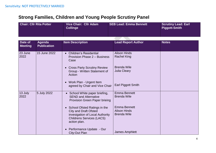## **Strong Families, Children and Young People Scrutiny Panel**

| <b>Chair: Cllr Rita Potter</b> |                                     | <b>Vice Chair: Cllr Adam</b><br><b>Collinge</b>                                                                                                     | <b>SEB Lead: Emma Bennett</b>                                    | <b>Scrutiny Lead: Earl</b><br><b>Piggott-Smith</b> |
|--------------------------------|-------------------------------------|-----------------------------------------------------------------------------------------------------------------------------------------------------|------------------------------------------------------------------|----------------------------------------------------|
| Date of<br><b>Meeting</b>      | <b>Agenda</b><br><b>Publication</b> | <b>Item Description</b>                                                                                                                             | <b>Lead Report Author</b>                                        | <b>Notes</b>                                       |
| 23 June<br>2022                | 15 June 2022                        | <b>Children's Residential</b><br>$\bullet$<br>Provision Phase 2 - Business<br>Case                                                                  | <b>Alison Hinds</b><br><b>Rachel King</b>                        |                                                    |
|                                |                                     | • Cross Party Scrutiny Review<br>Group - Written Statement of<br>Action                                                                             | <b>Brenda Wile</b><br><b>Julia Cleary</b>                        |                                                    |
|                                |                                     | Work Plan - Urgent Item<br>$\bullet$<br>agreed by Chair and Vice Chair                                                                              | <b>Earl Piggott Smith</b>                                        |                                                    |
| 13 July<br>2022                | 5 July 2022                         | • School White paper briefing,<br><b>SEND and Alternative</b><br>Provision Green Paper brieing                                                      | <b>Emma Bennett</b><br><b>Brenda Wile</b>                        |                                                    |
|                                |                                     | School Ofsted Ratings in the<br><b>City and Draft Ofsted</b><br>invesigation of Local Authority<br><b>Childrens Services (LACS)</b><br>action plan. | <b>Emma Bennett</b><br><b>Alison Hinds</b><br><b>Brenda Wile</b> |                                                    |
|                                |                                     | Performance Update - Our<br>City:Out Plan                                                                                                           | <b>James Amphlett</b>                                            |                                                    |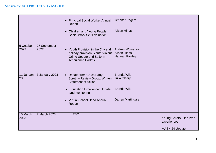|                   |                      | <b>Principal Social Worker Annual</b><br>Report<br><b>Children and Young People</b><br><b>Social Work Self Evaluation</b>                                      | Jennifer Rogers<br><b>Alison Hinds</b>                                 |                                                           |
|-------------------|----------------------|----------------------------------------------------------------------------------------------------------------------------------------------------------------|------------------------------------------------------------------------|-----------------------------------------------------------|
| 5 October<br>2022 | 27 September<br>2022 | • Youth Provision in the City and<br>holiday provision, Youth Violent<br>Crime Update and St John<br><b>Ambulance Cadets</b>                                   | <b>Andrew Wolverson</b><br><b>Alison Hinds</b><br><b>Hannah Pawley</b> |                                                           |
| 11 January<br>23  | 3 January 2023       | <b>Update from Cross Party</b><br><b>Scrutiny Review Group: Written</b><br><b>Statement of Action</b><br><b>Education Excellence: Update</b><br>and monitoring | <b>Brenda Wile</b><br>Julia Cleary<br><b>Brenda Wile</b>               |                                                           |
|                   |                      | <b>Virtual School Head Annual</b><br>Report                                                                                                                    | <b>Darren Martindale</b>                                               |                                                           |
| 15 March<br>2023  | 7 March 2023         | <b>TBC</b>                                                                                                                                                     |                                                                        | Young Carers - inc lived<br>experiences<br>MASH 24 Update |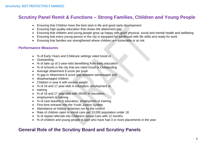## **Scrutiny Panel Remit & Functions – Strong Families, Children and Young People**

- Ensuring that Children have the best start in life and good early development
- Ensuring high quality education that closes the attainment gap
- Ensuring that children and young people grow up happy with good physical, social and mental health and wellbeing
- Ensuring that every young person in the city is equipped for adulthood with life skills and ready for work
- Ensuring that families are strengthened where children are vulnerable or at risk.

#### **Performance Measures**

- % of Early Years and Childcare settings rated Good or
- Outstanding
- % of take up of 2-year-olds benefitting from early education
- % of schools in the city that are rated Good or Outstanding
- Average Attainment 8 score per pupil
- % gap in Attainment 8 score gap between advantaged and
- disadvantaged children
- Children in year 6 with excess weight
- % of 16 and 17 year-olds in education, employment or
- training
- % of 16 and 17 year-olds with SEND in education,
- employment or training
- % of care leavers in education, employment or training
- First time entrants into the Youth Justice System
- Attendance at holiday schemes run by the council
- Rate of children open to social care per 10,000 population under 18
- % of repeat referrals into Childrens Social Care with 12 months
- % of children and young people in care who have had 3 or more placements in the year

## **General Role of the Scrutiny Board and Scrutiny Panels**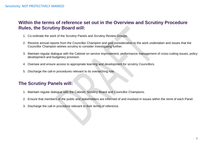## **Within the terms of reference set out in the Overview and Scrutiny Procedure Rules, the Scrutiny Board will:**

- 1. Co-ordinate the work of the Scrutiny Panels and Scrutiny Review Groups.
- 2. Receive annual reports from the Councillor Champion and give consideration to the work undertaken and issues that the Councillor Champion wishes scrutiny to consider investigating further.
- 3. Maintain regular dialogue with the Cabinet on service improvement, performance management of cross-cutting issues, policy development and budgetary provision.
- 4. Oversee and ensure access to appropriate learning and development for scrutiny Councillors.
- 5. Discharge the call-in procedures relevant to its overarching role.

## **The Scrutiny Panels will:**

- 1. Maintain regular dialogue with the Cabinet, Scrutiny Board and Councillor Champions.
- 2. Ensure that members of the public and stakeholders are informed of and involved in issues within the remit of each Panel.
- 3. Discharge the call-in procedure relevant to their terms of reference.